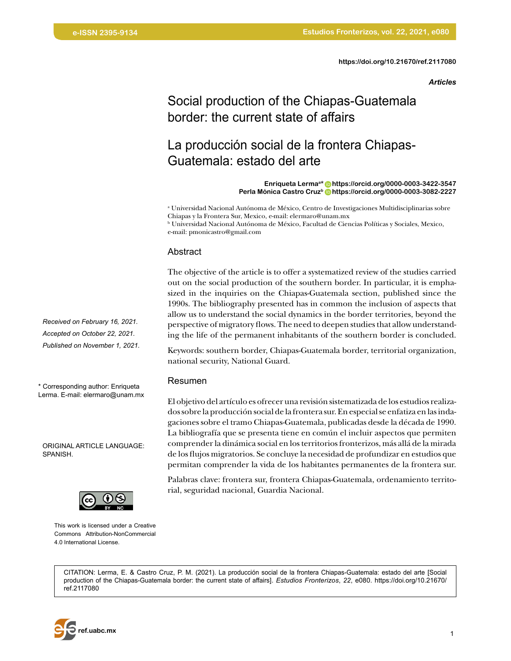### *Articles*

# Social production of the Chiapas-Guatemala border: the current state of affairs

# La producción social de la frontera Chiapas-Guatemala: estado del arte

#### **Enriqueta Lermaa\* [https://orcid.org/0000-0003-3422-3547](https://orcid.org/0000-0003-3422-3547 ) Perla Mónica Castro Cruzb [https://orcid.org/0000-0003-3082-2227](https://orcid.org/0000-0003-3082-2227 )**

a Universidad Nacional Autónoma de México, Centro de Investigaciones Multidisciplinarias sobre Chiapas y la Frontera Sur, Mexico, e-mail: elermaro@unam.mx

b Universidad Nacional Autónoma de México, Facultad de Ciencias Políticas y Sociales, Mexico, e-mail: pmonicastro@gmail.com

### Abstract

The objective of the article is to offer a systematized review of the studies carried out on the social production of the southern border. In particular, it is emphasized in the inquiries on the Chiapas-Guatemala section, published since the 1990s. The bibliography presented has in common the inclusion of aspects that allow us to understand the social dynamics in the border territories, beyond the perspective of migratory flows. The need to deepen studies that allow understanding the life of the permanent inhabitants of the southern border is concluded.

Keywords: southern border, Chiapas-Guatemala border, territorial organization, national security, National Guard.

#### Resumen

El objetivo del artículo es ofrecer una revisión sistematizada de los estudios realizados sobre la producción social de la frontera sur. En especial se enfatiza en las indagaciones sobre el tramo Chiapas-Guatemala, publicadas desde la década de 1990. La bibliografía que se presenta tiene en común el incluir aspectos que permiten comprender la dinámica social en los territorios fronterizos, más allá de la mirada de los flujos migratorios. Se concluye la necesidad de profundizar en estudios que permitan comprender la vida de los habitantes permanentes de la frontera sur.

Palabras clave: frontera sur, frontera Chiapas-Guatemala, ordenamiento territorial, seguridad nacional, Guardia Nacional.

*Received on February 16, 2021. Accepted on October 22, 2021. Published on November 1, 2021.*

\* Corresponding author: Enriqueta Lerma. E-mail: elermaro@unam.mx

ORIGINAL ARTICLE LANGUAGE: SPANISH.



This work is licensed under a Creative Commons Attribution-NonCommercial 4.0 International License.

CITATION: Lerma, E. & Castro Cruz, P. M. (2021). La producción social de la frontera Chiapas-Guatemala: estado del arte [Social production of the Chiapas-Guatemala border: the current state of affairs]. *Estudios Fronterizos*, *22*, e080. [https://doi.org/10.21670/](https://doi.org/10.21670/ref.2117080 ) [ref.2117080](https://doi.org/10.21670/ref.2117080 )

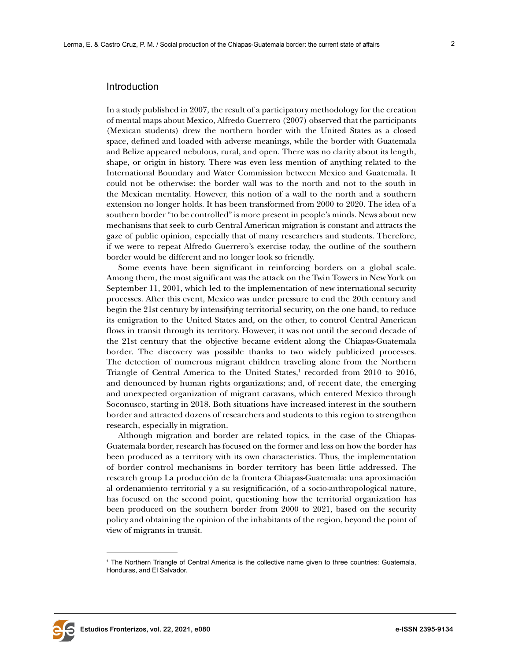## Introduction

In a study published in 2007, the result of a participatory methodology for the creation of mental maps about Mexico, Alfredo Guerrero (2007) observed that the participants (Mexican students) drew the northern border with the United States as a closed space, defined and loaded with adverse meanings, while the border with Guatemala and Belize appeared nebulous, rural, and open. There was no clarity about its length, shape, or origin in history. There was even less mention of anything related to the International Boundary and Water Commission between Mexico and Guatemala. It could not be otherwise: the border wall was to the north and not to the south in the Mexican mentality. However, this notion of a wall to the north and a southern extension no longer holds. It has been transformed from 2000 to 2020. The idea of a southern border "to be controlled" is more present in people's minds. News about new mechanisms that seek to curb Central American migration is constant and attracts the gaze of public opinion, especially that of many researchers and students. Therefore, if we were to repeat Alfredo Guerrero's exercise today, the outline of the southern border would be different and no longer look so friendly.

Some events have been significant in reinforcing borders on a global scale. Among them, the most significant was the attack on the Twin Towers in New York on September 11, 2001, which led to the implementation of new international security processes. After this event, Mexico was under pressure to end the 20th century and begin the 21st century by intensifying territorial security, on the one hand, to reduce its emigration to the United States and, on the other, to control Central American flows in transit through its territory. However, it was not until the second decade of the 21st century that the objective became evident along the Chiapas-Guatemala border. The discovery was possible thanks to two widely publicized processes. The detection of numerous migrant children traveling alone from the Northern Triangle of Central America to the United States,<sup>1</sup> recorded from 2010 to 2016, and denounced by human rights organizations; and, of recent date, the emerging and unexpected organization of migrant caravans, which entered Mexico through Soconusco, starting in 2018. Both situations have increased interest in the southern border and attracted dozens of researchers and students to this region to strengthen research, especially in migration.

Although migration and border are related topics, in the case of the Chiapas-Guatemala border, research has focused on the former and less on how the border has been produced as a territory with its own characteristics. Thus, the implementation of border control mechanisms in border territory has been little addressed. The research group La producción de la frontera Chiapas-Guatemala: una aproximación al ordenamiento territorial y a su resignificación, of a socio-anthropological nature, has focused on the second point, questioning how the territorial organization has been produced on the southern border from 2000 to 2021, based on the security policy and obtaining the opinion of the inhabitants of the region, beyond the point of view of migrants in transit.



<sup>1</sup> The Northern Triangle of Central America is the collective name given to three countries: Guatemala, Honduras, and El Salvador.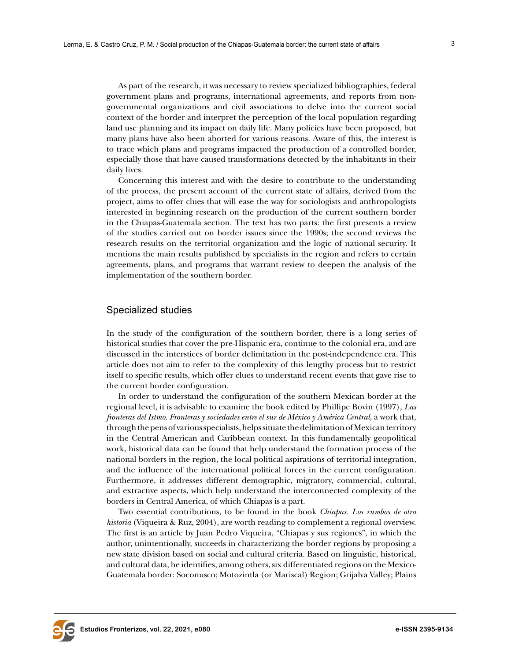As part of the research, it was necessary to review specialized bibliographies, federal government plans and programs, international agreements, and reports from nongovernmental organizations and civil associations to delve into the current social context of the border and interpret the perception of the local population regarding land use planning and its impact on daily life. Many policies have been proposed, but many plans have also been aborted for various reasons. Aware of this, the interest is to trace which plans and programs impacted the production of a controlled border, especially those that have caused transformations detected by the inhabitants in their daily lives.

Concerning this interest and with the desire to contribute to the understanding of the process, the present account of the current state of affairs, derived from the project, aims to offer clues that will ease the way for sociologists and anthropologists interested in beginning research on the production of the current southern border in the Chiapas-Guatemala section. The text has two parts: the first presents a review of the studies carried out on border issues since the 1990s; the second reviews the research results on the territorial organization and the logic of national security. It mentions the main results published by specialists in the region and refers to certain agreements, plans, and programs that warrant review to deepen the analysis of the implementation of the southern border.

## Specialized studies

In the study of the configuration of the southern border, there is a long series of historical studies that cover the pre-Hispanic era, continue to the colonial era, and are discussed in the interstices of border delimitation in the post-independence era. This article does not aim to refer to the complexity of this lengthy process but to restrict itself to specific results, which offer clues to understand recent events that gave rise to the current border configuration.

In order to understand the configuration of the southern Mexican border at the regional level, it is advisable to examine the book edited by Phillipe Bovin (1997), *Las fronteras del Istmo. Fronteras y sociedades entre el sur de México y América Central*, a work that, through the pens of various specialists, helps situate the delimitation of Mexican territory in the Central American and Caribbean context. In this fundamentally geopolitical work, historical data can be found that help understand the formation process of the national borders in the region, the local political aspirations of territorial integration, and the influence of the international political forces in the current configuration. Furthermore, it addresses different demographic, migratory, commercial, cultural, and extractive aspects, which help understand the interconnected complexity of the borders in Central America, of which Chiapas is a part.

Two essential contributions, to be found in the book *Chiapas. Los rumbos de otra historia* (Viqueira & Ruz, 2004), are worth reading to complement a regional overview. The first is an article by Juan Pedro Viqueira, "Chiapas y sus regiones", in which the author, unintentionally, succeeds in characterizing the border regions by proposing a new state division based on social and cultural criteria. Based on linguistic, historical, and cultural data, he identifies, among others, six differentiated regions on the Mexico-Guatemala border: Soconusco; Motozintla (or Mariscal) Region; Grijalva Valley; Plains

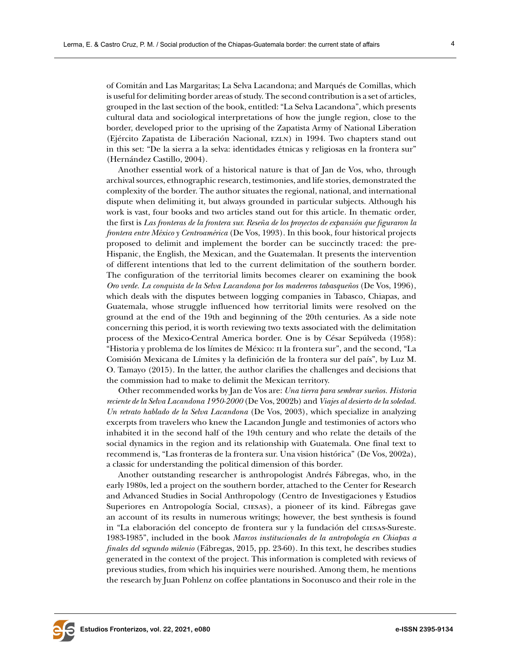of Comitán and Las Margaritas; La Selva Lacandona; and Marqués de Comillas, which is useful for delimiting border areas of study. The second contribution is a set of articles, grouped in the last section of the book, entitled: "La Selva Lacandona", which presents cultural data and sociological interpretations of how the jungle region, close to the border, developed prior to the uprising of the Zapatista Army of National Liberation (Ejército Zapatista de Liberación Nacional, EZLN) in 1994. Two chapters stand out in this set: "De la sierra a la selva: identidades étnicas y religiosas en la frontera sur" (Hernández Castillo, 2004).

Another essential work of a historical nature is that of Jan de Vos, who, through archival sources, ethnographic research, testimonies, and life stories, demonstrated the complexity of the border. The author situates the regional, national, and international dispute when delimiting it, but always grounded in particular subjects. Although his work is vast, four books and two articles stand out for this article. In thematic order, the first is *Las fronteras de la frontera sur. Reseña de los proyectos de expansión que figuraron la frontera entre México y Centroamérica* (De Vos, 1993). In this book, four historical projects proposed to delimit and implement the border can be succinctly traced: the pre-Hispanic, the English, the Mexican, and the Guatemalan. It presents the intervention of different intentions that led to the current delimitation of the southern border. The configuration of the territorial limits becomes clearer on examining the book *Oro verde. La conquista de la Selva Lacandona por los madereros tabasqueños* (De Vos, 1996), which deals with the disputes between logging companies in Tabasco, Chiapas, and Guatemala, whose struggle influenced how territorial limits were resolved on the ground at the end of the 19th and beginning of the 20th centuries. As a side note concerning this period, it is worth reviewing two texts associated with the delimitation process of the Mexico-Central America border. One is by César Sepúlveda (1958): "Historia y problema de los límites de México: ii la frontera sur", and the second, "La Comisión Mexicana de Límites y la definición de la frontera sur del país", by Luz M. O. Tamayo (2015). In the latter, the author clarifies the challenges and decisions that the commission had to make to delimit the Mexican territory.

Other recommended works by Jan de Vos are: *Una tierra para sembrar sueños. Historia reciente de la Selva Lacandona 1950-2000* (De Vos, 2002b) and *Viajes al desierto de la soledad. Un retrato hablado de la Selva Lacandona* (De Vos, 2003), which specialize in analyzing excerpts from travelers who knew the Lacandon Jungle and testimonies of actors who inhabited it in the second half of the 19th century and who relate the details of the social dynamics in the region and its relationship with Guatemala. One final text to recommend is, "Las fronteras de la frontera sur. Una vision histórica" (De Vos, 2002a), a classic for understanding the political dimension of this border.

Another outstanding researcher is anthropologist Andrés Fábregas, who, in the early 1980s, led a project on the southern border, attached to the Center for Research and Advanced Studies in Social Anthropology (Centro de Investigaciones y Estudios Superiores en Antropología Social, ciesas), a pioneer of its kind. Fábregas gave an account of its results in numerous writings; however, the best synthesis is found in "La elaboración del concepto de frontera sur y la fundación del ciesas-Sureste. 1983-1985", included in the book *Marcos institucionales de la antropología en Chiapas a finales del segundo milenio* (Fábregas, 2015, pp. 23-60). In this text, he describes studies generated in the context of the project. This information is completed with reviews of previous studies, from which his inquiries were nourished. Among them, he mentions the research by Juan Pohlenz on coffee plantations in Soconusco and their role in the

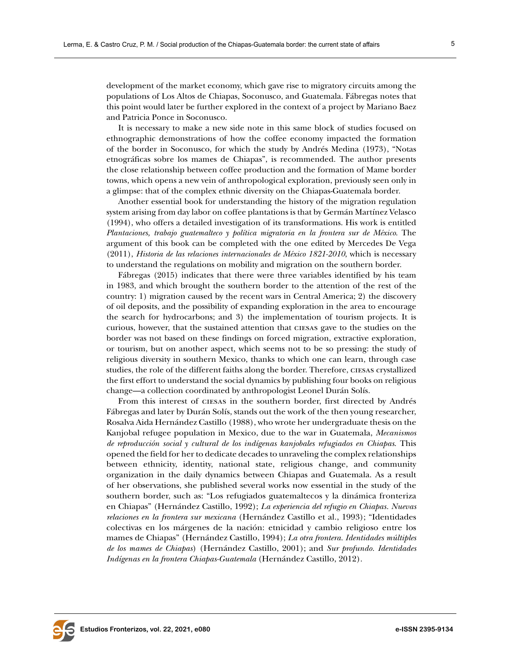development of the market economy, which gave rise to migratory circuits among the populations of Los Altos de Chiapas, Soconusco, and Guatemala. Fábregas notes that this point would later be further explored in the context of a project by Mariano Baez and Patricia Ponce in Soconusco.

It is necessary to make a new side note in this same block of studies focused on ethnographic demonstrations of how the coffee economy impacted the formation of the border in Soconusco, for which the study by Andrés Medina (1973), "Notas etnográficas sobre los mames de Chiapas", is recommended. The author presents the close relationship between coffee production and the formation of Mame border towns, which opens a new vein of anthropological exploration, previously seen only in a glimpse: that of the complex ethnic diversity on the Chiapas-Guatemala border.

Another essential book for understanding the history of the migration regulation system arising from day labor on coffee plantations is that by Germán Martínez Velasco (1994), who offers a detailed investigation of its transformations. His work is entitled *Plantaciones, trabajo guatemalteco y política migratoria en la frontera sur de México*. The argument of this book can be completed with the one edited by Mercedes De Vega (2011), *Historia de las relaciones internacionales de México 1821-2010*, which is necessary to understand the regulations on mobility and migration on the southern border.

Fábregas (2015) indicates that there were three variables identified by his team in 1983, and which brought the southern border to the attention of the rest of the country: 1) migration caused by the recent wars in Central America; 2) the discovery of oil deposits, and the possibility of expanding exploration in the area to encourage the search for hydrocarbons; and 3) the implementation of tourism projects. It is curious, however, that the sustained attention that ciesas gave to the studies on the border was not based on these findings on forced migration, extractive exploration, or tourism, but on another aspect, which seems not to be so pressing: the study of religious diversity in southern Mexico, thanks to which one can learn, through case studies, the role of the different faiths along the border. Therefore, ciesas crystallized the first effort to understand the social dynamics by publishing four books on religious change—a collection coordinated by anthropologist Leonel Durán Solís.

From this interest of ciesas in the southern border, first directed by Andrés Fábregas and later by Durán Solís, stands out the work of the then young researcher, Rosalva Aida Hernández Castillo (1988), who wrote her undergraduate thesis on the Kanjobal refugee population in Mexico, due to the war in Guatemala, *Mecanismos de reproducción social y cultural de los indígenas kanjobales refugiados en Chiapas*. This opened the field for her to dedicate decades to unraveling the complex relationships between ethnicity, identity, national state, religious change, and community organization in the daily dynamics between Chiapas and Guatemala. As a result of her observations, she published several works now essential in the study of the southern border, such as: "Los refugiados guatemaltecos y la dinámica fronteriza en Chiapas" (Hernández Castillo, 1992); *La experiencia del refugio en Chiapas. Nuevas relaciones en la frontera sur mexicana* (Hernández Castillo et al., 1993); "Identidades colectivas en los márgenes de la nación: etnicidad y cambio religioso entre los mames de Chiapas" (Hernández Castillo, 1994); *La otra frontera. Identidades múltiples de los mames de Chiapas*) (Hernández Castillo, 2001); and *Sur profundo. Identidades Indígenas en la frontera Chiapas-Guatemala* (Hernández Castillo, 2012).

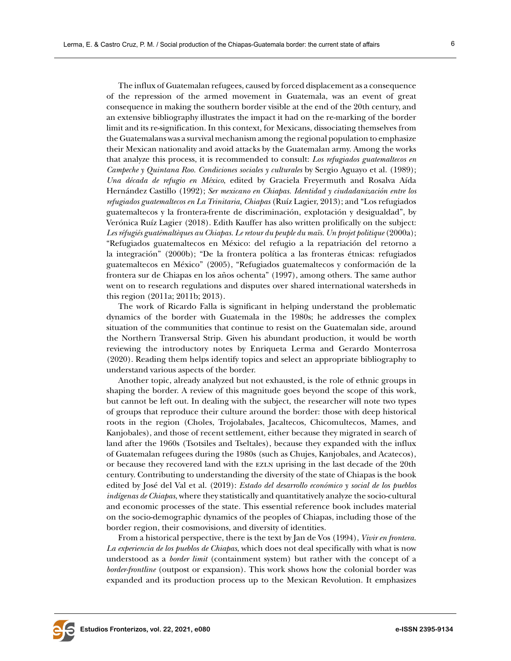The influx of Guatemalan refugees, caused by forced displacement as a consequence of the repression of the armed movement in Guatemala, was an event of great consequence in making the southern border visible at the end of the 20th century, and an extensive bibliography illustrates the impact it had on the re-marking of the border limit and its re-signification. In this context, for Mexicans, dissociating themselves from the Guatemalans was a survival mechanism among the regional population to emphasize their Mexican nationality and avoid attacks by the Guatemalan army. Among the works that analyze this process, it is recommended to consult: *Los refugiados guatemaltecos en Campeche y Quintana Roo. Condiciones sociales y culturales* by Sergio Aguayo et al. (1989); *Una década de refugio en México*, edited by Graciela Freyermuth and Rosalva Aída Hernández Castillo (1992); *Ser mexicano en Chiapas. Identidad y ciudadanización entre los refugiados guatemaltecos en La Trinitaria, Chiapas* (Ruíz Lagier, 2013); and "Los refugiados guatemaltecos y la frontera-frente de discriminación, explotación y desigualdad", by Verónica Ruíz Lagier (2018). Edith Kauffer has also written prolifically on the subject: *Les réfugiés guatémaltèques au Chiapas. Le retour du peuple du maïs. Un projet politique* (2000a); "Refugiados guatemaltecos en México: del refugio a la repatriación del retorno a la integración" (2000b); "De la frontera política a las fronteras étnicas: refugiados guatemaltecos en México" (2005), "Refugiados guatemaltecos y conformación de la frontera sur de Chiapas en los años ochenta" (1997), among others. The same author went on to research regulations and disputes over shared international watersheds in this region (2011a; 2011b; 2013).

The work of Ricardo Falla is significant in helping understand the problematic dynamics of the border with Guatemala in the 1980s; he addresses the complex situation of the communities that continue to resist on the Guatemalan side, around the Northern Transversal Strip. Given his abundant production, it would be worth reviewing the introductory notes by Enriqueta Lerma and Gerardo Monterrosa (2020). Reading them helps identify topics and select an appropriate bibliography to understand various aspects of the border.

Another topic, already analyzed but not exhausted, is the role of ethnic groups in shaping the border. A review of this magnitude goes beyond the scope of this work, but cannot be left out. In dealing with the subject, the researcher will note two types of groups that reproduce their culture around the border: those with deep historical roots in the region (Choles, Trojolabales, Jacaltecos, Chicomultecos, Mames, and Kanjobales), and those of recent settlement, either because they migrated in search of land after the 1960s (Tsotsiles and Tseltales), because they expanded with the influx of Guatemalan refugees during the 1980s (such as Chujes, Kanjobales, and Acatecos), or because they recovered land with the ezln uprising in the last decade of the 20th century. Contributing to understanding the diversity of the state of Chiapas is the book edited by José del Val et al. (2019): *Estado del desarrollo económico y social de los pueblos indígenas de Chiapas*, where they statistically and quantitatively analyze the socio-cultural and economic processes of the state. This essential reference book includes material on the socio-demographic dynamics of the peoples of Chiapas, including those of the border region, their cosmovisions, and diversity of identities.

From a historical perspective, there is the text by Jan de Vos (1994), *Vivir en frontera. La experiencia de los pueblos de Chiapas*, which does not deal specifically with what is now understood as a *border limit* (containment system) but rather with the concept of a *border-frontline* (outpost or expansion). This work shows how the colonial border was expanded and its production process up to the Mexican Revolution. It emphasizes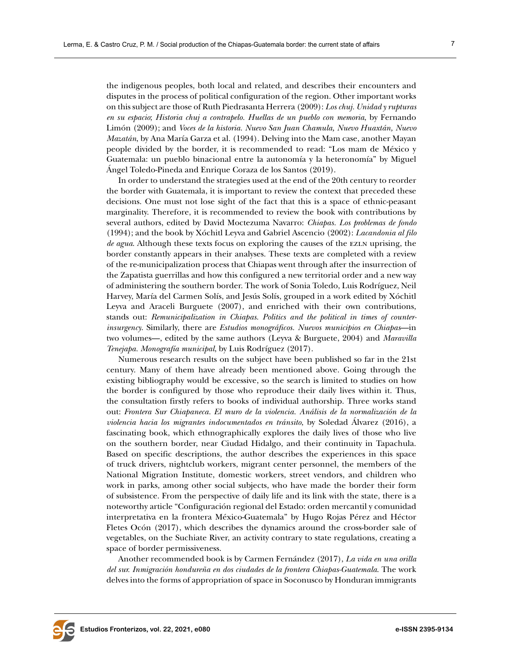the indigenous peoples, both local and related, and describes their encounters and disputes in the process of political configuration of the region. Other important works on this subject are those of Ruth Piedrasanta Herrera (2009): *Los chuj. Unidad y rupturas en su espacio*; *Historia chuj a contrapelo. Huellas de un pueblo con memoria*, by Fernando Limón (2009); and *Voces de la historia. Nuevo San Juan Chamula, Nuevo Huaxtán, Nuevo Mazatán*, by Ana María Garza et al. (1994). Delving into the Mam case, another Mayan people divided by the border, it is recommended to read: "Los mam de México y Guatemala: un pueblo binacional entre la autonomía y la heteronomía" by Miguel Ángel Toledo-Pineda and Enrique Coraza de los Santos (2019).

In order to understand the strategies used at the end of the 20th century to reorder the border with Guatemala, it is important to review the context that preceded these decisions. One must not lose sight of the fact that this is a space of ethnic-peasant marginality. Therefore, it is recommended to review the book with contributions by several authors, edited by David Moctezuma Navarro: *Chiapas. Los problemas de fondo* (1994); and the book by Xóchitl Leyva and Gabriel Ascencio (2002): *Lacandonia al filo de agua*. Although these texts focus on exploring the causes of the EZLN uprising, the border constantly appears in their analyses. These texts are completed with a review of the re-municipalization process that Chiapas went through after the insurrection of the Zapatista guerrillas and how this configured a new territorial order and a new way of administering the southern border. The work of Sonia Toledo, Luis Rodríguez, Neil Harvey, María del Carmen Solís, and Jesús Solís, grouped in a work edited by Xóchitl Leyva and Araceli Burguete (2007), and enriched with their own contributions, stands out: *Remunicipalization in Chiapas. Politics and the political in times of counterinsurgency*. Similarly, there are *Estudios monográficos. Nuevos municipios en Chiapas*—in two volumes—, edited by the same authors (Leyva & Burguete, 2004) and *Maravilla Tenejapa. Monografía municipal*, by Luis Rodríguez (2017).

Numerous research results on the subject have been published so far in the 21st century. Many of them have already been mentioned above. Going through the existing bibliography would be excessive, so the search is limited to studies on how the border is configured by those who reproduce their daily lives within it. Thus, the consultation firstly refers to books of individual authorship. Three works stand out: *Frontera Sur Chiapaneca. El muro de la violencia. Análisis de la normalización de la violencia hacia los migrantes indocumentados en tránsito*, by Soledad Álvarez (2016), a fascinating book, which ethnographically explores the daily lives of those who live on the southern border, near Ciudad Hidalgo, and their continuity in Tapachula. Based on specific descriptions, the author describes the experiences in this space of truck drivers, nightclub workers, migrant center personnel, the members of the National Migration Institute, domestic workers, street vendors, and children who work in parks, among other social subjects, who have made the border their form of subsistence. From the perspective of daily life and its link with the state, there is a noteworthy article "Configuración regional del Estado: orden mercantil y comunidad interpretativa en la frontera México-Guatemala" by Hugo Rojas Pérez and Héctor Fletes Ocón (2017), which describes the dynamics around the cross-border sale of vegetables, on the Suchiate River, an activity contrary to state regulations, creating a space of border permissiveness.

Another recommended book is by Carmen Fernández (2017), *La vida en una orilla del sur. Inmigración hondureña en dos ciudades de la frontera Chiapas-Guatemala*. The work delves into the forms of appropriation of space in Soconusco by Honduran immigrants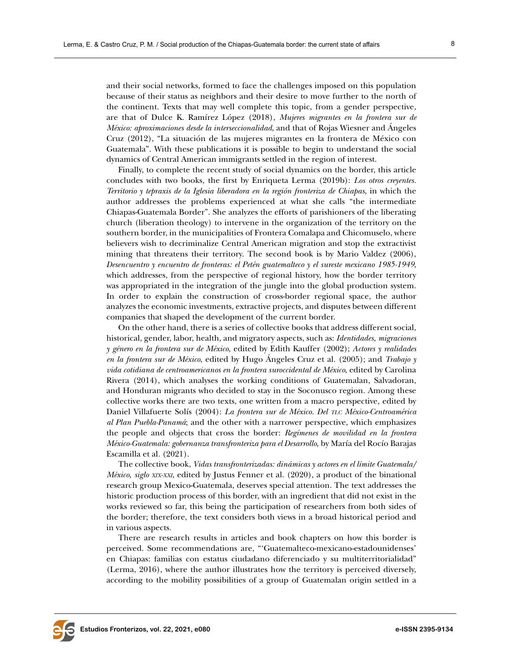and their social networks, formed to face the challenges imposed on this population because of their status as neighbors and their desire to move further to the north of the continent. Texts that may well complete this topic, from a gender perspective, are that of Dulce K. Ramírez López (2018), *Mujeres migrantes en la frontera sur de México: aproximaciones desde la interseccionalidad*, and that of Rojas Wiesner and Ángeles Cruz (2012), "La situación de las mujeres migrantes en la frontera de México con Guatemala". With these publications it is possible to begin to understand the social dynamics of Central American immigrants settled in the region of interest.

Finally, to complete the recent study of social dynamics on the border, this article concludes with two books, the first by Enriqueta Lerma (2019b): *Los otros creyentes. Territorio y tepraxis de la Iglesia liberadora en la región fronteriza de Chiapas*, in which the author addresses the problems experienced at what she calls "the intermediate Chiapas-Guatemala Border". She analyzes the efforts of parishioners of the liberating church (liberation theology) to intervene in the organization of the territory on the southern border, in the municipalities of Frontera Comalapa and Chicomuselo, where believers wish to decriminalize Central American migration and stop the extractivist mining that threatens their territory. The second book is by Mario Valdez (2006), *Desencuentro y encuentro de fronteras: el Petén guatemalteco y el sureste mexicano 1985-1949*, which addresses, from the perspective of regional history, how the border territory was appropriated in the integration of the jungle into the global production system. In order to explain the construction of cross-border regional space, the author analyzes the economic investments, extractive projects, and disputes between different companies that shaped the development of the current border.

On the other hand, there is a series of collective books that address different social, historical, gender, labor, health, and migratory aspects, such as: *Identidades, migraciones y género en la frontera sur de México*, edited by Edith Kauffer (2002); *Actores y realidades en la frontera sur de México*, edited by Hugo Ángeles Cruz et al. (2005); and *Trabajo y vida cotidiana de centroamericanos en la frontera suroccidental de México*, edited by Carolina Rivera (2014), which analyses the working conditions of Guatemalan, Salvadoran, and Honduran migrants who decided to stay in the Soconusco region. Among these collective works there are two texts, one written from a macro perspective, edited by Daniel Villafuerte Solís (2004): *La frontera sur de México. Del tlc México-Centroamérica al Plan Puebla-Panamá*; and the other with a narrower perspective, which emphasizes the people and objects that cross the border: *Regímenes de movilidad en la frontera México-Guatemala: gobernanza transfronteriza para el Desarrollo*, by María del Rocío Barajas Escamilla et al. (2021).

The collective book, *Vidas transfronterizadas: dinámicas y actores en el límite Guatemala/ México, siglo xix-xxi*, edited by Justus Fenner et al. (2020), a product of the binational research group Mexico-Guatemala, deserves special attention. The text addresses the historic production process of this border, with an ingredient that did not exist in the works reviewed so far, this being the participation of researchers from both sides of the border; therefore, the text considers both views in a broad historical period and in various aspects.

There are research results in articles and book chapters on how this border is perceived. Some recommendations are, "'Guatemalteco-mexicano-estadounidenses' en Chiapas: familias con estatus ciudadano diferenciado y su multiterritorialidad" (Lerma, 2016), where the author illustrates how the territory is perceived diversely, according to the mobility possibilities of a group of Guatemalan origin settled in a

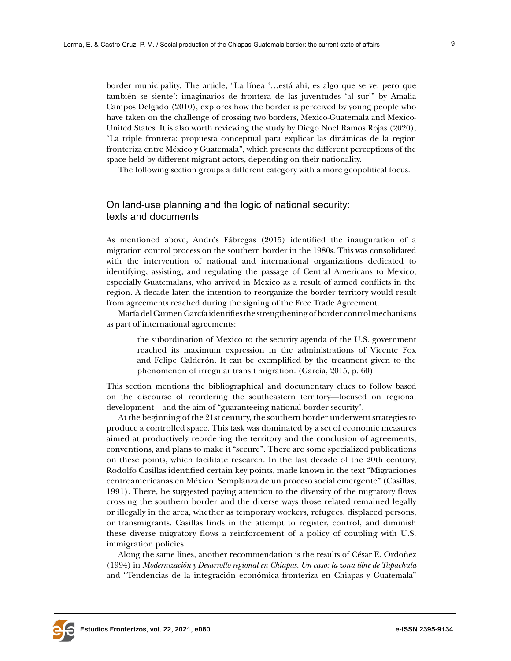border municipality. The article, "La línea '…está ahí, es algo que se ve, pero que también se siente': imaginarios de frontera de las juventudes 'al sur'" by Amalia Campos Delgado (2010), explores how the border is perceived by young people who have taken on the challenge of crossing two borders, Mexico-Guatemala and Mexico-United States. It is also worth reviewing the study by Diego Noel Ramos Rojas (2020), "La triple frontera: propuesta conceptual para explicar las dinámicas de la region fronteriza entre México y Guatemala", which presents the different perceptions of the space held by different migrant actors, depending on their nationality.

The following section groups a different category with a more geopolitical focus.

# On land-use planning and the logic of national security: texts and documents

As mentioned above, Andrés Fábregas (2015) identified the inauguration of a migration control process on the southern border in the 1980s. This was consolidated with the intervention of national and international organizations dedicated to identifying, assisting, and regulating the passage of Central Americans to Mexico, especially Guatemalans, who arrived in Mexico as a result of armed conflicts in the region. A decade later, the intention to reorganize the border territory would result from agreements reached during the signing of the Free Trade Agreement.

María del Carmen García identifies the strengthening of border control mechanisms as part of international agreements:

the subordination of Mexico to the security agenda of the U.S. government reached its maximum expression in the administrations of Vicente Fox and Felipe Calderón. It can be exemplified by the treatment given to the phenomenon of irregular transit migration. (García, 2015, p. 60)

This section mentions the bibliographical and documentary clues to follow based on the discourse of reordering the southeastern territory—focused on regional development—and the aim of "guaranteeing national border security".

At the beginning of the 21st century, the southern border underwent strategies to produce a controlled space. This task was dominated by a set of economic measures aimed at productively reordering the territory and the conclusion of agreements, conventions, and plans to make it "secure". There are some specialized publications on these points, which facilitate research. In the last decade of the 20th century, Rodolfo Casillas identified certain key points, made known in the text "Migraciones centroamericanas en México. Semplanza de un proceso social emergente" (Casillas, 1991). There, he suggested paying attention to the diversity of the migratory flows crossing the southern border and the diverse ways those related remained legally or illegally in the area, whether as temporary workers, refugees, displaced persons, or transmigrants. Casillas finds in the attempt to register, control, and diminish these diverse migratory flows a reinforcement of a policy of coupling with U.S. immigration policies.

Along the same lines, another recommendation is the results of César E. Ordoñez (1994) in *Modernización y Desarrollo regional en Chiapas. Un caso: la zona libre de Tapachula* and "Tendencias de la integración económica fronteriza en Chiapas y Guatemala"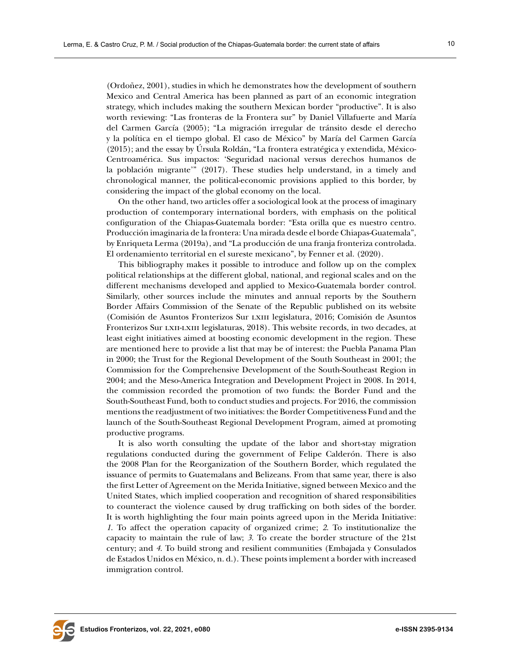(Ordoñez, 2001), studies in which he demonstrates how the development of southern Mexico and Central America has been planned as part of an economic integration strategy, which includes making the southern Mexican border "productive". It is also worth reviewing: "Las fronteras de la Frontera sur" by Daniel Villafuerte and María del Carmen García (2005); "La migración irregular de tránsito desde el derecho y la política en el tiempo global. El caso de México" by María del Carmen García (2015); and the essay by Úrsula Roldán, "La frontera estratégica y extendida, México-Centroamérica. Sus impactos: 'Seguridad nacional versus derechos humanos de la población migrante'" (2017). These studies help understand, in a timely and chronological manner, the political-economic provisions applied to this border, by considering the impact of the global economy on the local.

On the other hand, two articles offer a sociological look at the process of imaginary production of contemporary international borders, with emphasis on the political configuration of the Chiapas-Guatemala border: "Esta orilla que es nuestro centro. Producción imaginaria de la frontera: Una mirada desde el borde Chiapas-Guatemala", by Enriqueta Lerma (2019a), and "La producción de una franja fronteriza controlada. El ordenamiento territorial en el sureste mexicano", by Fenner et al. (2020).

This bibliography makes it possible to introduce and follow up on the complex political relationships at the different global, national, and regional scales and on the different mechanisms developed and applied to Mexico-Guatemala border control. Similarly, other sources include the minutes and annual reports by the Southern Border Affairs Commission of the Senate of the Republic published on its website (Comisión de Asuntos Fronterizos Sur lxiii legislatura, 2016; Comisión de Asuntos Fronterizos Sur lxii-lxiii legislaturas, 2018). This website records, in two decades, at least eight initiatives aimed at boosting economic development in the region. These are mentioned here to provide a list that may be of interest: the Puebla Panama Plan in 2000; the Trust for the Regional Development of the South Southeast in 2001; the Commission for the Comprehensive Development of the South-Southeast Region in 2004; and the Meso-America Integration and Development Project in 2008. In 2014, the commission recorded the promotion of two funds: the Border Fund and the South-Southeast Fund, both to conduct studies and projects. For 2016, the commission mentions the readjustment of two initiatives: the Border Competitiveness Fund and the launch of the South-Southeast Regional Development Program, aimed at promoting productive programs.

It is also worth consulting the update of the labor and short-stay migration regulations conducted during the government of Felipe Calderón. There is also the 2008 Plan for the Reorganization of the Southern Border, which regulated the issuance of permits to Guatemalans and Belizeans. From that same year, there is also the first Letter of Agreement on the Merida Initiative, signed between Mexico and the United States, which implied cooperation and recognition of shared responsibilities to counteract the violence caused by drug trafficking on both sides of the border. It is worth highlighting the four main points agreed upon in the Merida Initiative: *1*. To affect the operation capacity of organized crime; *2*. To institutionalize the capacity to maintain the rule of law; *3*. To create the border structure of the 21st century; and *4*. To build strong and resilient communities (Embajada y Consulados de Estados Unidos en México, n. d.). These points implement a border with increased immigration control.

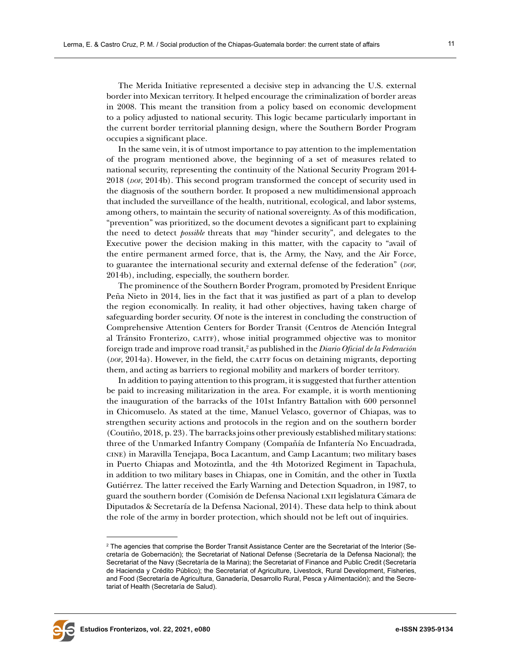The Merida Initiative represented a decisive step in advancing the U.S. external border into Mexican territory. It helped encourage the criminalization of border areas in 2008. This meant the transition from a policy based on economic development to a policy adjusted to national security. This logic became particularly important in the current border territorial planning design, where the Southern Border Program occupies a significant place.

In the same vein, it is of utmost importance to pay attention to the implementation of the program mentioned above, the beginning of a set of measures related to national security, representing the continuity of the National Security Program 2014- 2018 (*dof*, 2014b). This second program transformed the concept of security used in the diagnosis of the southern border. It proposed a new multidimensional approach that included the surveillance of the health, nutritional, ecological, and labor systems, among others, to maintain the security of national sovereignty. As of this modification, "prevention" was prioritized, so the document devotes a significant part to explaining the need to detect *possible* threats that *may* "hinder security", and delegates to the Executive power the decision making in this matter, with the capacity to "avail of the entire permanent armed force, that is, the Army, the Navy, and the Air Force, to guarantee the international security and external defense of the federation" (*dof*, 2014b), including, especially, the southern border.

The prominence of the Southern Border Program, promoted by President Enrique Peña Nieto in 2014, lies in the fact that it was justified as part of a plan to develop the region economically. In reality, it had other objectives, having taken charge of safeguarding border security. Of note is the interest in concluding the construction of Comprehensive Attention Centers for Border Transit (Centros de Atención Integral al Tránsito Fronterizo, CAITF), whose initial programmed objective was to monitor foreign trade and improve road transit,2 as published in the *Diario Oficial de la Federación* (*por*, 2014a). However, in the field, the carry focus on detaining migrants, deporting them, and acting as barriers to regional mobility and markers of border territory.

In addition to paying attention to this program, it is suggested that further attention be paid to increasing militarization in the area. For example, it is worth mentioning the inauguration of the barracks of the 101st Infantry Battalion with 600 personnel in Chicomuselo. As stated at the time, Manuel Velasco, governor of Chiapas, was to strengthen security actions and protocols in the region and on the southern border (Coutiño, 2018, p. 23). The barracks joins other previously established military stations: three of the Unmarked Infantry Company (Compañía de Infantería No Encuadrada, cine) in Maravilla Tenejapa, Boca Lacantum, and Camp Lacantum; two military bases in Puerto Chiapas and Motozintla, and the 4th Motorized Regiment in Tapachula, in addition to two military bases in Chiapas, one in Comitán, and the other in Tuxtla Gutiérrez. The latter received the Early Warning and Detection Squadron, in 1987, to guard the southern border (Comisión de Defensa Nacional lxii legislatura Cámara de Diputados & Secretaría de la Defensa Nacional, 2014). These data help to think about the role of the army in border protection, which should not be left out of inquiries.



 $^{\rm 2}$  The agencies that comprise the Border Transit Assistance Center are the Secretariat of the Interior (Secretaría de Gobernación); the Secretariat of National Defense (Secretaría de la Defensa Nacional); the Secretariat of the Navy (Secretaría de la Marina); the Secretariat of Finance and Public Credit (Secretaría de Hacienda y Crédito Público); the Secretariat of Agriculture, Livestock, Rural Development, Fisheries, and Food (Secretaría de Agricultura, Ganadería, Desarrollo Rural, Pesca y Alimentación); and the Secretariat of Health (Secretaría de Salud).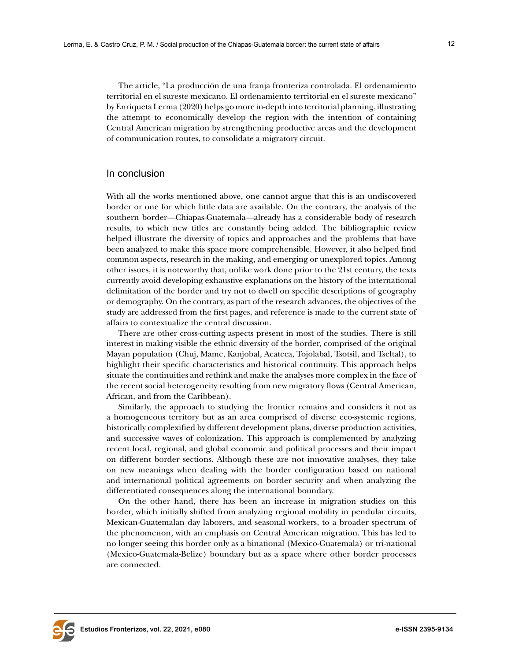The article, "La producción de una franja fronteriza controlada. El ordenamiento territorial en el sureste mexicano. El ordenamiento territorial en el sureste mexicano" by Enriqueta Lerma (2020) helps go more in-depth into territorial planning, illustrating the attempt to economically develop the region with the intention of containing Central American migration by strengthening productive areas and the development of communication routes, to consolidate a migratory circuit.

## In conclusion

With all the works mentioned above, one cannot argue that this is an undiscovered border or one for which little data are available. On the contrary, the analysis of the southern border—Chiapas-Guatemala—already has a considerable body of research results, to which new titles are constantly being added. The bibliographic review helped illustrate the diversity of topics and approaches and the problems that have been analyzed to make this space more comprehensible. However, it also helped find common aspects, research in the making, and emerging or unexplored topics. Among other issues, it is noteworthy that, unlike work done prior to the 21st century, the texts currently avoid developing exhaustive explanations on the history of the international delimitation of the border and try not to dwell on specific descriptions of geography or demography. On the contrary, as part of the research advances, the objectives of the study are addressed from the first pages, and reference is made to the current state of affairs to contextualize the central discussion.

There are other cross-cutting aspects present in most of the studies. There is still interest in making visible the ethnic diversity of the border, comprised of the original Mayan population (Chuj, Mame, Kanjobal, Acateca, Tojolabal, Tsotsil, and Tseltal), to highlight their specific characteristics and historical continuity. This approach helps situate the continuities and rethink and make the analyses more complex in the face of the recent social heterogeneity resulting from new migratory flows (Central American, African, and from the Caribbean).

Similarly, the approach to studying the frontier remains and considers it not as a homogeneous territory but as an area comprised of diverse eco-systemic regions, historically complexified by different development plans, diverse production activities, and successive waves of colonization. This approach is complemented by analyzing recent local, regional, and global economic and political processes and their impact on different border sections. Although these are not innovative analyses, they take on new meanings when dealing with the border configuration based on national and international political agreements on border security and when analyzing the differentiated consequences along the international boundary.

On the other hand, there has been an increase in migration studies on this border, which initially shifted from analyzing regional mobility in pendular circuits, Mexican-Guatemalan day laborers, and seasonal workers, to a broader spectrum of the phenomenon, with an emphasis on Central American migration. This has led to no longer seeing this border only as a binational (Mexico-Guatemala) or tri-national (Mexico-Guatemala-Belize) boundary but as a space where other border processes are connected.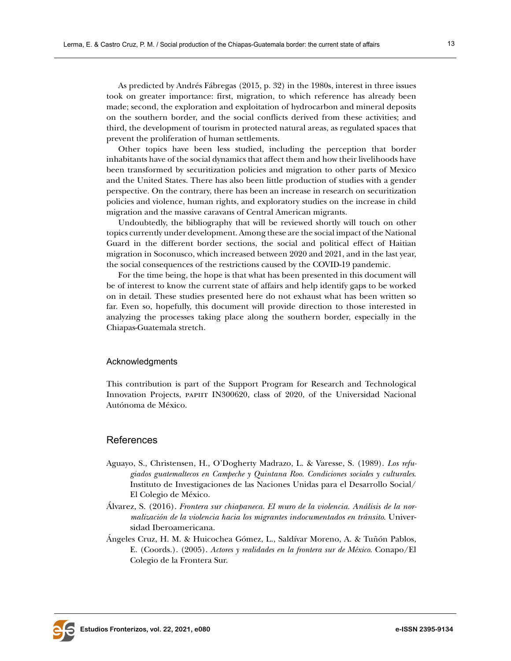As predicted by Andrés Fábregas (2015, p. 32) in the 1980s, interest in three issues took on greater importance: first, migration, to which reference has already been made; second, the exploration and exploitation of hydrocarbon and mineral deposits on the southern border, and the social conflicts derived from these activities; and third, the development of tourism in protected natural areas, as regulated spaces that prevent the proliferation of human settlements.

Other topics have been less studied, including the perception that border inhabitants have of the social dynamics that affect them and how their livelihoods have been transformed by securitization policies and migration to other parts of Mexico and the United States. There has also been little production of studies with a gender perspective. On the contrary, there has been an increase in research on securitization policies and violence, human rights, and exploratory studies on the increase in child migration and the massive caravans of Central American migrants.

Undoubtedly, the bibliography that will be reviewed shortly will touch on other topics currently under development. Among these are the social impact of the National Guard in the different border sections, the social and political effect of Haitian migration in Soconusco, which increased between 2020 and 2021, and in the last year, the social consequences of the restrictions caused by the COVID-19 pandemic.

For the time being, the hope is that what has been presented in this document will be of interest to know the current state of affairs and help identify gaps to be worked on in detail. These studies presented here do not exhaust what has been written so far. Even so, hopefully, this document will provide direction to those interested in analyzing the processes taking place along the southern border, especially in the Chiapas-Guatemala stretch.

#### Acknowledgments

This contribution is part of the Support Program for Research and Technological Innovation Projects, PAPIIT IN300620, class of 2020, of the Universidad Nacional Autónoma de México.

## References

- Aguayo, S., Christensen, H., O'Dogherty Madrazo, L. & Varesse, S. (1989). *Los refugiados guatemaltecos en Campeche y Quintana Roo. Condiciones sociales y culturales*. Instituto de Investigaciones de las Naciones Unidas para el Desarrollo Social/ El Colegio de México.
- Álvarez, S. (2016). *Frontera sur chiapaneca. El muro de la violencia. Análisis de la normalización de la violencia hacia los migrantes indocumentados en tránsito*. Universidad Iberoamericana.
- Ángeles Cruz, H. M. & Huicochea Gómez, L., Saldívar Moreno, A. & Tuñón Pablos, E. (Coords.). (2005). *Actores y realidades en la frontera sur de México*. Conapo/El Colegio de la Frontera Sur.

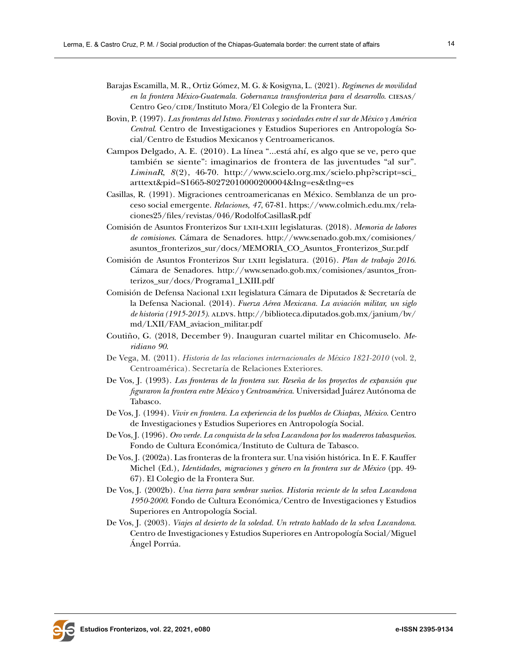- Barajas Escamilla, M. R., Ortiz Gómez, M. G. & Kosigyna, L. (2021). *Regímenes de movilidad en la frontera México-Guatemala. Gobernanza transfronteriza para el desarrollo*. ciesas/ Centro Geo/CIDE/Instituto Mora/El Colegio de la Frontera Sur.
- Bovin, P. (1997). *Las fronteras del Istmo. Fronteras y sociedades entre el sur de México y América Central*. Centro de Investigaciones y Estudios Superiores en Antropología Social/Centro de Estudios Mexicanos y Centroamericanos.
- Campos Delgado, A. E. (2010). La línea "...está ahí, es algo que se ve, pero que también se siente": imaginarios de frontera de las juventudes "al sur". *LiminaR*, *8*(2), 46-70. [http://www.scielo.org.mx/scielo.php?script=sci\\_](http://www.scielo.org.mx/scielo.php?script=sci_arttext&pid=S1665-80272010000200004&lng=es&tlng=es) [arttext&pid=S1665-80272010000200004&lng=es&tlng=es](http://www.scielo.org.mx/scielo.php?script=sci_arttext&pid=S1665-80272010000200004&lng=es&tlng=es)
- Casillas, R. (1991). Migraciones centroamericanas en México. Semblanza de un proceso social emergente. *Relaciones, 47*, 67-81. [https://www.colmich.edu.mx/rela](https://www.colmich.edu.mx/relaciones25/files/revistas/046/RodolfoCasillasR.pdf)[ciones25/files/revistas/046/RodolfoCasillasR.pdf](https://www.colmich.edu.mx/relaciones25/files/revistas/046/RodolfoCasillasR.pdf)
- Comisión de Asuntos Fronterizos Sur lxii-lxiii legislaturas. (2018). *Memoria de labores de comisiones*. Cámara de Senadores. [http://www.senado.gob.mx/comisiones/](http://www.senado.gob.mx/comisiones/asuntos_fronterizos_sur/docs/MEMORIA_CO_Asuntos_Fronterizos_Sur.pdf) [asuntos\\_fronterizos\\_sur/docs/MEMORIA\\_CO\\_Asuntos\\_Fronterizos\\_Sur.pdf](http://www.senado.gob.mx/comisiones/asuntos_fronterizos_sur/docs/MEMORIA_CO_Asuntos_Fronterizos_Sur.pdf)
- Comisión de Asuntos Fronterizos Sur lxiii legislatura*.* (2016). *Plan de trabajo 2016*. Cámara de Senadores. [http://www.senado.gob.mx/comisiones/asuntos\\_fron](http://www.senado.gob.mx/comisiones/asuntos_fronterizos_sur/docs/Programa1_LXIII.pdf)[terizos\\_sur/docs/Programa1\\_LXIII.pdf](http://www.senado.gob.mx/comisiones/asuntos_fronterizos_sur/docs/Programa1_LXIII.pdf)
- Comisión de Defensa Nacional lxii legislatura Cámara de Diputados & Secretaría de la Defensa Nacional. (2014). *Fuerza Aérea Mexicana. La aviación militar, un siglo de historia (1915-2015)*. ALDVS. [http://biblioteca.diputados.gob.mx/janium/bv/](http://biblioteca.diputados.gob.mx/janium/bv/md/LXII/FAM_aviacion_militar.pdf) [md/LXII/FAM\\_aviacion\\_militar.pdf](http://biblioteca.diputados.gob.mx/janium/bv/md/LXII/FAM_aviacion_militar.pdf)
- Coutiño, G. (2018, December 9). Inauguran cuartel militar en Chicomuselo. *Meridiano 90*.
- De Vega, M. (2011). *Historia de las relaciones internacionales de México 1821-2010* (vol. 2, Centroamérica). Secretaría de Relaciones Exteriores.
- De Vos, J. (1993). *Las fronteras de la frontera sur. Reseña de los proyectos de expansión que figuraron la frontera entre México y Centroamérica*. Universidad Juárez Autónoma de Tabasco.
- De Vos, J. (1994). *Vivir en frontera. La experiencia de los pueblos de Chiapas, México*. Centro de Investigaciones y Estudios Superiores en Antropología Social.
- De Vos, J. (1996). *Oro verde. La conquista de la selva Lacandona por los madereros tabasqueños*. Fondo de Cultura Económica/Instituto de Cultura de Tabasco.
- De Vos, J. (2002a). Las fronteras de la frontera sur. Una visión histórica. In E. F. Kauffer Michel (Ed.), *Identidades, migraciones y género en la frontera sur de México* (pp. 49- 67). El Colegio de la Frontera Sur.
- De Vos, J. (2002b). *Una tierra para sembrar sueños. Historia reciente de la selva Lacandona 1950-2000*. Fondo de Cultura Económica/Centro de Investigaciones y Estudios Superiores en Antropología Social.
- De Vos, J. (2003). *Viajes al desierto de la soledad. Un retrato hablado de la selva Lacandona*. Centro de Investigaciones y Estudios Superiores en Antropología Social/Miguel Ángel Porrúa.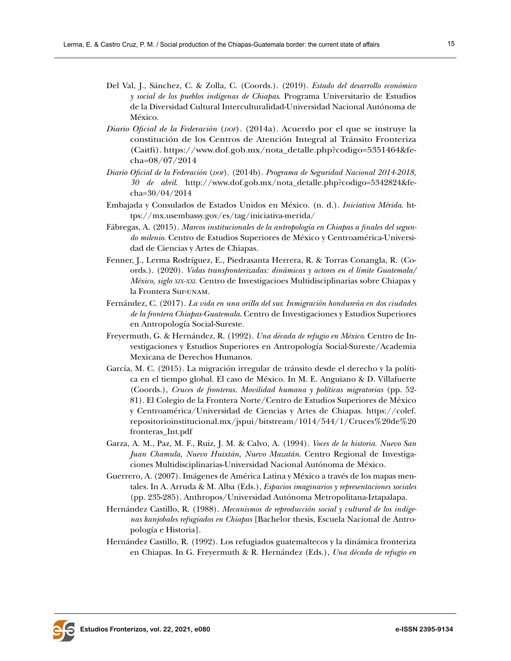- Del Val, J., Sánchez, C. & Zolla, C. (Coords.). (2019). *Estado del desarrollo económico y social de los pueblos indígenas de Chiapas*. Programa Universitario de Estudios de la Diversidad Cultural Interculturalidad-Universidad Nacional Autónoma de México.
- *Diario Oficial de la Federación* (*dof*). (2014a). Acuerdo por el que se instruye la constitución de los Centros de Atención Integral al Tránsito Fronteriza (Caitfi). [https://www.dof.gob.mx/nota\\_detalle.php?codigo=5351464&fe](https://www.dof.gob.mx/nota_detalle.php?codigo=5351464&fecha=08/07/2014)[cha=08/07/2014](https://www.dof.gob.mx/nota_detalle.php?codigo=5351464&fecha=08/07/2014)
- *Diario Oficial de la Federación* (*dof*). (2014b). *Programa de Seguridad Nacional 2014-2018, 30 de abril*. [http://www.dof.gob.mx/nota\\_detalle.php?codigo=5342824&fe](http://www.dof.gob.mx/nota_detalle.php?codigo=5342824&fecha=30/04/2014)[cha=30/04/2014](http://www.dof.gob.mx/nota_detalle.php?codigo=5342824&fecha=30/04/2014)
- Embajada y Consulados de Estados Unidos en México. (n. d.). *Iniciativa Mérida*. [ht](https://mx.usembassy.gov/es/tag/iniciativa-merida/)[tps://mx.usembassy.gov/es/tag/iniciativa-merida/](https://mx.usembassy.gov/es/tag/iniciativa-merida/)
- Fábregas, A. (2015). *Marcos institucionales de la antropología en Chiapas a finales del segundo milenio*. Centro de Estudios Superiores de México y Centroamérica-Universidad de Ciencias y Artes de Chiapas.
- Fenner, J., Lerma Rodríguez, E., Piedrasanta Herrera, R. & Torras Conangla, R. (Coords.). (2020). *Vidas transfronterizadas: dinámicas y actores en el límite Guatemala/ México, siglo xix-xxi*. Centro de Investigacioes Multidisciplinarias sobre Chiapas y la Frontera Sur-unam.
- Fernández, C. (2017). *La vida en una orilla del sur. Inmigración hondureña en dos ciudades de la frontera Chiapas-Guatemala*. Centro de Investigaciones y Estudios Superiores en Antropología Social-Sureste.
- Freyermuth, G. & Hernández, R. (1992). *Una década de refugio en México*. Centro de Investigaciones y Estudios Superiores en Antropología Social-Sureste/Academia Mexicana de Derechos Humanos.
- García, M. C. (2015). La migración irregular de tránsito desde el derecho y la política en el tiempo global. El caso de México. In M. E. Anguiano & D. Villafuerte (Coords.), *Cruces de fronteras. Movilidad humana y políticas migratorias* (pp. 52- 81). El Colegio de la Frontera Norte/Centro de Estudios Superiores de México y Centroamérica/Universidad de Ciencias y Artes de Chiapas. [https://colef.](https://colef.repositorioinstitucional.mx/jspui/bitstream/1014/544/1/Cruces%20de%20fronteras_Int.pdf) [repositorioinstitucional.mx/jspui/bitstream/1014/544/1/Cruces%20de%20](https://colef.repositorioinstitucional.mx/jspui/bitstream/1014/544/1/Cruces%20de%20fronteras_Int.pdf) [fronteras\\_Int.pdf](https://colef.repositorioinstitucional.mx/jspui/bitstream/1014/544/1/Cruces%20de%20fronteras_Int.pdf)
- Garza, A. M., Paz, M. F., Ruiz, J. M. & Calvo, A. (1994). *Voces de la historia. Nuevo San Juan Chamula, Nuevo Huixtán, Nuevo Mazatán*. Centro Regional de Investigaciones Multidisciplinarias-Universidad Nacional Autónoma de México.
- Guerrero, A. (2007). Imágenes de América Latina y México a través de los mapas mentales. In A. Arruda & M. Alba (Eds.), *Espacios imaginarios y representaciones sociales* (pp. 235-285). Anthropos/Universidad Autónoma Metropolitana-Iztapalapa.
- Hernández Castillo, R. (1988). *Mecanismos de reproducción social y cultural de los indígenas kanjobales refugiados en Chiapas* [Bachelor thesis, Escuela Nacional de Antropología e Historia].
- Hernández Castillo, R. (1992). Los refugiados guatemaltecos y la dinámica fronteriza en Chiapas. In G. Freyermuth & R. Hernández (Eds.), *Una década de refugio en*

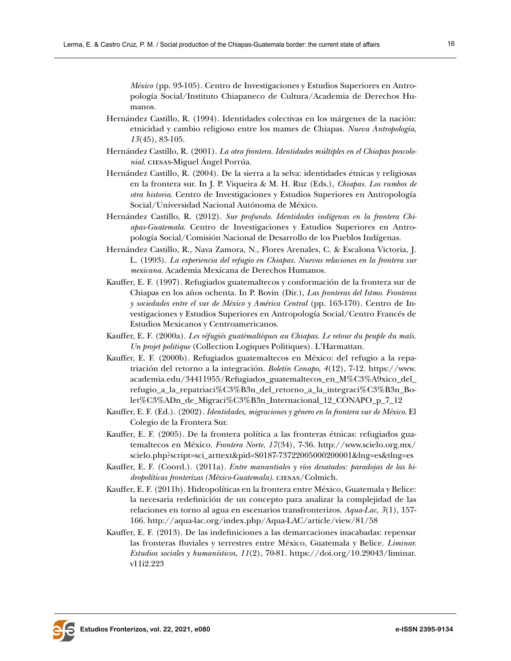*México* (pp. 93-105). Centro de Investigaciones y Estudios Superiores en Antropología Social/Instituto Chiapaneco de Cultura/Academia de Derechos Humanos.

- Hernández Castillo, R. (1994). Identidades colectivas en los márgenes de la nación: etnicidad y cambio religioso entre los mames de Chiapas. *Nueva Antropología*, *13*(45), 83-105.
- Hernández Castillo, R. (2001). *La otra frontera. Identidades múltiples en el Chiapas poscolonial*. ciesas-Miguel Ángel Porrúa.
- Hernández Castillo, R. (2004). De la sierra a la selva: identidades étnicas y religiosas en la frontera sur. In J. P. Viqueira & M. H. Ruz (Eds.), *Chiapas. Los rumbos de otra historia*. Centro de Investigaciones y Estudios Superiores en Antropología Social/Universidad Nacional Autónoma de México.
- Hernández Castillo, R. (2012). *Sur profundo. Identidades indígenas en la frontera Chiapas-Guatemala*. Centro de Investigaciones y Estudios Superiores en Antropología Social/Comisión Nacional de Desarrollo de los Pueblos Indígenas.
- Hernández Castillo, R., Nava Zamora, N., Flores Arenales, C. & Escalona Victoria, J. L. (1993). *La experiencia del refugio en Chiapas. Nuevas relaciones en la frontera sur mexicana*. Academia Mexicana de Derechos Humanos.
- Kauffer, E. F. (1997). [Refugiados guatemaltecos y conformación de la frontera sur de](http://scholar.google.com/scholar?cluster=9211918243358037139&hl=en&oi=scholarr)  [Chiapas en los años ochenta.](http://scholar.google.com/scholar?cluster=9211918243358037139&hl=en&oi=scholarr) In P. Bovin (Dir.), *Las fronteras del Istmo. Fronteras y sociedades entre el sur de México y América Central* (pp. 163-170). Centro de Investigaciones y Estudios Superiores en Antropología Social/Centro Francés de Estudios Mexicanos y Centroamericanos.
- Kauffer, E. F. (2000a). *Les réfugiés guatémaltèques au Chiapas. Le retour du peuple du maïs. Un projet politique* (Collection Logiques Politiques). L'Harmattan.
- Kauffer, E. F. (2000b). Refugiados guatemaltecos en México: del refugio a la repatriación del retorno a la integración. *Boletín Conapo*, *4*(12), 7-12. [https://www.](https://www.academia.edu/34411955/Refugiados_guatemaltecos_en_M%C3%A9xico_del_refugio_a_la_repatriaci%C3%B3n_del_retorno_a_la_integraci%C3%B3n_Bolet%C3%ADn_de_Migraci%C3%B3n_Internacional_12_CONAPO_p_7_12) [academia.edu/34411955/Refugiados\\_guatemaltecos\\_en\\_M%C3%A9xico\\_del\\_](https://www.academia.edu/34411955/Refugiados_guatemaltecos_en_M%C3%A9xico_del_refugio_a_la_repatriaci%C3%B3n_del_retorno_a_la_integraci%C3%B3n_Bolet%C3%ADn_de_Migraci%C3%B3n_Internacional_12_CONAPO_p_7_12) [refugio\\_a\\_la\\_repatriaci%C3%B3n\\_del\\_retorno\\_a\\_la\\_integraci%C3%B3n\\_Bo](https://www.academia.edu/34411955/Refugiados_guatemaltecos_en_M%C3%A9xico_del_refugio_a_la_repatriaci%C3%B3n_del_retorno_a_la_integraci%C3%B3n_Bolet%C3%ADn_de_Migraci%C3%B3n_Internacional_12_CONAPO_p_7_12)[let%C3%ADn\\_de\\_Migraci%C3%B3n\\_Internacional\\_12\\_CONAPO\\_p\\_7\\_12](https://www.academia.edu/34411955/Refugiados_guatemaltecos_en_M%C3%A9xico_del_refugio_a_la_repatriaci%C3%B3n_del_retorno_a_la_integraci%C3%B3n_Bolet%C3%ADn_de_Migraci%C3%B3n_Internacional_12_CONAPO_p_7_12)
- Kauffer, E. F. (Ed.). (2002). *Identidades, migraciones y género en la frontera sur de México*. El Colegio de la Frontera Sur.
- Kauffer, E. F. (2005). De la frontera política a las fronteras étnicas: refugiados guatemaltecos en México. *Frontera Norte*, *17*(34), 7-36. [http://www.scielo.org.mx/](http://www.scielo.org.mx/scielo.php?script=sci_arttext&pid=S0187-73722005000200001&lng=es&tlng=es) [scielo.php?script=sci\\_arttext&pid=S0187-73722005000200001&lng=es&tlng=es](http://www.scielo.org.mx/scielo.php?script=sci_arttext&pid=S0187-73722005000200001&lng=es&tlng=es)
- Kauffer, E. F. (Coord.). (2011a). *Entre manantiales y ríos desatados: paradojas de las hidropolíticas fronterizas (México-Guatemala).* ciesas/Colmich.
- Kauffer, E. F. (2011b). Hidropolíticas en la frontera entre México, Guatemala y Belice: la necesaria redefinición de un concepto para analizar la complejidad de las relaciones en torno al agua en escenarios transfronterizos. *Aqua-Lac*, *3*(1), 157- 166. <http://aqua-lac.org/index.php/Aqua-LAC/article/view/81/58>
- Kauffer, E. F. (2013). De las indefiniciones a las demarcaciones inacabadas: repensar las fronteras fluviales y terrestres entre México, Guatemala y Belice. *Liminar. Estudios sociales y humanísticos*, *11*(2), 70-81. [https://doi.org/10.29043/liminar.](https://doi.org/10.29043/liminar.v11i2.223) [v11i2.223](https://doi.org/10.29043/liminar.v11i2.223)

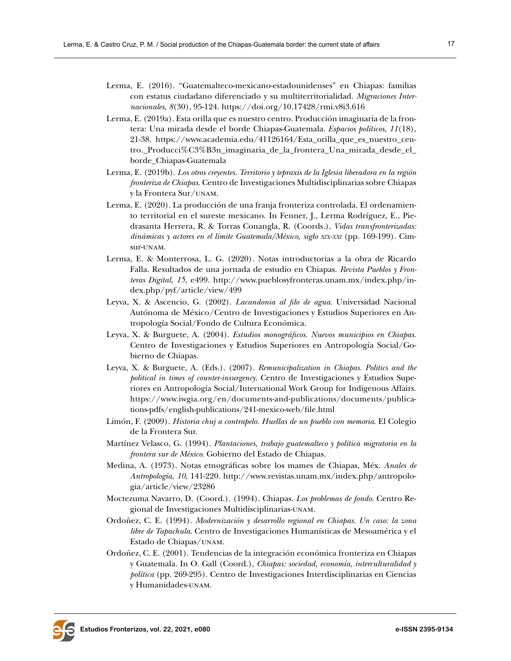- Lerma, E. (2016). "Guatemalteco-mexicano-estadounidenses" en Chiapas: familias con estatus ciudadano diferenciado y su multiterritorialidad. *Migraciones Internacionales*, *8*(30), 95-124. <https://doi.org/10.17428/rmi.v8i3.616>
- Lerma, E. (2019a). Esta orilla que es nuestro centro. Producción imaginaria de la frontera: Una mirada desde el borde Chiapas-Guatemala. *Espacios políticos*, *11*(18), 21-38. [https://www.academia.edu/41126164/Esta\\_orilla\\_que\\_es\\_nuestro\\_cen](https://www.academia.edu/41126164/Esta_orilla_que_es_nuestro_centro._Producci%C3%B3n_imaginaria_de_la_frontera_Una_mirada_desde_el_borde_Chiapas-Guatemala)[tro.\\_Producci%C3%B3n\\_imaginaria\\_de\\_la\\_frontera\\_Una\\_mirada\\_desde\\_el\\_](https://www.academia.edu/41126164/Esta_orilla_que_es_nuestro_centro._Producci%C3%B3n_imaginaria_de_la_frontera_Una_mirada_desde_el_borde_Chiapas-Guatemala) [borde\\_Chiapas-Guatemala](https://www.academia.edu/41126164/Esta_orilla_que_es_nuestro_centro._Producci%C3%B3n_imaginaria_de_la_frontera_Una_mirada_desde_el_borde_Chiapas-Guatemala)
- Lerma, E. (2019b). *Los otros creyentes. Territorio y tepraxis de la Iglesia liberadora en la región fronteriza de Chiapas*. Centro de Investigaciones Multidisciplinarias sobre Chiapas y la Frontera Sur/unam.
- Lerma, E. (2020). La producción de una franja fronteriza controlada. El ordenamiento territorial en el sureste mexicano. In Fenner, J., Lerma Rodríguez, E., Piedrasanta Herrera, R. & Torras Conangla, R. (Coords.), *Vidas transfronterizadas: dinámicas y actores en el límite Guatemala/México, siglo xix-xxi* (pp. 169-199). Cimsur-unam.
- Lerma, E. & Monterrosa, L. G. (2020). Notas introductorias a la obra de Ricardo Falla. Resultados de una jornada de estudio en Chiapas. *Revista Pueblos y Fronteras Digital*, *15*, e499. [http://www.pueblosyfronteras.unam.mx/index.php/in](http://www.pueblosyfronteras.unam.mx/index.php/index.php/pyf/article/view/499)[dex.php/pyf/article/view/499](http://www.pueblosyfronteras.unam.mx/index.php/index.php/pyf/article/view/499)
- Leyva, X. & Ascencio, G. (2002). *Lacandonia al filo de agua*. Universidad Nacional Autónoma de México/Centro de Investigaciones y Estudios Superiores en Antropología Social/Fondo de Cultura Económica.
- Leyva, X. & Burguete, A. (2004). *Estudios monográficos. Nuevos municipios en Chiapas*. Centro de Investigaciones y Estudios Superiores en Antropología Social/Gobierno de Chiapas.
- Leyva, X. & Burguete, A. (Eds.). (2007). *Remunicipalization in Chiapas. Politics and the political in times of counter-insurgency*. Centro de Investigaciones y Estudios Superiores en Antropología Social/International Work Group for Indigenous Affairs. [https://www.iwgia.org/en/documents-and-publications/documents/publica](https://www.iwgia.org/en/documents-and-publications/documents/publications-pdfs/english-publications/241-mexico-web/file.html)[tions-pdfs/english-publications/241-mexico-web/file.html](https://www.iwgia.org/en/documents-and-publications/documents/publications-pdfs/english-publications/241-mexico-web/file.html)
- Limón, F. (2009). *Historia chuj a contrapelo. Huellas de un pueblo con memoria*. El Colegio de la Frontera Sur.
- Martínez Velasco, G. (1994). *Plantaciones, trabajo guatemalteco y política migratoria en la frontera sur de México*. Gobierno del Estado de Chiapas.
- Medina, A. (1973). Notas etnográficas sobre los mames de Chiapas, Méx. *Anales de Antropología*, *10*, 141-220. [http://www.revistas.unam.mx/index.php/antropolo](http://www.revistas.unam.mx/index.php/antropologia/article/view/23286)[gia/article/view/23286](http://www.revistas.unam.mx/index.php/antropologia/article/view/23286)
- Moctezuma Navarro, D. (Coord.). (1994). Chiapas. *Los problemas de fondo*. Centro Regional de Investigaciones Multidisciplinarias-unam.
- Ordoñez, C. E. (1994). *Modernización y desarrollo regional en Chiapas. Un caso: la zona libre de Tapachula*. Centro de Investigaciones Humanísticas de Mesoamérica y el Estado de Chiapas/unam.
- Ordoñez, C. E. (2001). Tendencias de la integración económica fronteriza en Chiapas y Guatemala. In O. Gall (Coord.), *Chiapas: sociedad, economía, interculturalidad y política* (pp. 269-295). Centro de Investigaciones Interdisciplinarias en Ciencias y Humanidades-unam.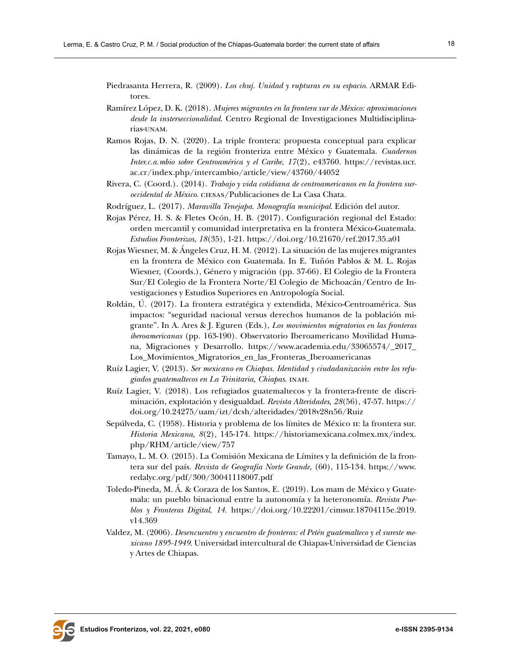Piedrasanta Herrera, R. (2009). *Los chuj. Unidad y rupturas en su espacio*. ARMAR Editores.

- Ramírez López, D. K. (2018). *Mujeres migrantes en la frontera sur de México: aproximaciones desde la insterseccionalidad*. Centro Regional de Investigaciones Multidisciplinarias-unam.
- Ramos Rojas, D. N. (2020). La triple frontera: propuesta conceptual para explicar las dinámicas de la región fronteriza entre México y Guatemala. *Cuadernos Inter.c.a.mbio sobre Centroamérica y el Caribe*, *17*(2), e43760. [https://revistas.ucr.](https://revistas.ucr.ac.cr/index.php/intercambio/article/view/43760/44052) [ac.cr/index.php/intercambio/article/view/43760/44052](https://revistas.ucr.ac.cr/index.php/intercambio/article/view/43760/44052)
- Rivera, C. (Coord.). (2014). *Trabajo y vida cotidiana de centroamericanos en la frontera suroccidental de México*. ciesas/Publicaciones de La Casa Chata.
- Rodríguez, L. (2017). *Maravilla Tenejapa. Monografía municipal*. Edición del autor.
- Rojas Pérez, H. S. & Fletes Ocón, H. B. (2017). Configuración regional del Estado: orden mercantil y comunidad interpretativa en la frontera México-Guatemala. *Estudios Fronterizos*, *18*(35), 1-21. <https://doi.org/10.21670/ref.2017.35.a01>
- Rojas Wiesner, M. & Ángeles Cruz, H. M. (2012). La situación de las mujeres migrantes en la frontera de México con Guatemala. In E. Tuñón Pablos & M. L. Rojas Wiesner, (Coords.), Género y migración (pp. 37-66). El Colegio de la Frontera Sur/El Colegio de la Frontera Norte/El Colegio de Michoacán/Centro de Investigaciones y Estudios Superiores en Antropología Social.
- Roldán, Ú. (2017). La frontera estratégica y extendida, México-Centroamérica. Sus impactos: "seguridad nacional versus derechos humanos de la población migrante". In A. Ares & J. Eguren (Eds.), *Los movimientos migratorios en las fronteras iberoamericanas* (pp. 163-190). Observatorio Iberoamericano Movilidad Humana, Migraciones y Desarrollo. [https://www.academia.edu/33065574/\\_2017\\_](https://www.academia.edu/33065574/_2017_Los_Movimientos_Migratorios_en_las_Fronteras_Iberoamericanas) [Los\\_Movimientos\\_Migratorios\\_en\\_las\\_Fronteras\\_Iberoamericanas](https://www.academia.edu/33065574/_2017_Los_Movimientos_Migratorios_en_las_Fronteras_Iberoamericanas)
- Ruíz Lagier, V. (2013). *Ser mexicano en Chiapas. Identidad y ciudadanización entre los refugiados guatemaltecos en La Trinitaria, Chiapas*. inah.
- Ruíz Lagier, V. (2018). Los refugiados guatemaltecos y la frontera-frente de discriminación, explotación y desigualdad. *Revista Alteridades*, *28*(56), 47-57. [https://](https://doi.org/10.24275/uam/izt/dcsh/alteridades/2018v28n56/Ruiz) [doi.org/10.24275/uam/izt/dcsh/alteridades/2018v28n56/Ruiz](https://doi.org/10.24275/uam/izt/dcsh/alteridades/2018v28n56/Ruiz)
- Sepúlveda, C. (1958). Historia y problema de los límites de México ii: la frontera sur. *Historia Mexicana*, *8*(2), 145-174. [https://historiamexicana.colmex.mx/index.](https://historiamexicana.colmex.mx/index.php/RHM/article/view/757) [php/RHM/article/view/757](https://historiamexicana.colmex.mx/index.php/RHM/article/view/757)
- Tamayo, L. M. O. (2015). La Comisión Mexicana de Límites y la definición de la frontera sur del país. *Revista de Geografía Norte Grande*, (60), 115-134. [https://www.](https://www.redalyc.org/pdf/300/30041118007.pdf) [redalyc.org/pdf/300/30041118007.pdf](https://www.redalyc.org/pdf/300/30041118007.pdf)
- Toledo-Pineda, M. Á. & Coraza de los Santos, E. (2019). Los mam de México y Guatemala: un pueblo binacional entre la autonomía y la heteronomía. *Revista Pueblos y Fronteras Digital*, *14*. [https://doi.org/10.22201/cimsur.18704115e.2019.](https://doi.org/10.22201/cimsur.18704115e.2019.v14.369) [v14.369](https://doi.org/10.22201/cimsur.18704115e.2019.v14.369)
- Valdez, M. (2006). *Desencuentro y encuentro de fronteras: el Petén guatemalteco y el sureste mexicano 1895-1949*. Universidad intercultural de Chiapas-Universidad de Ciencias y Artes de Chiapas.